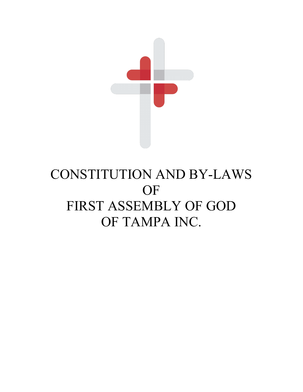

# CONSTITUTION AND BY-LAWS **OF** FIRST ASSEMBLY OF GOD OF TAMPA INC.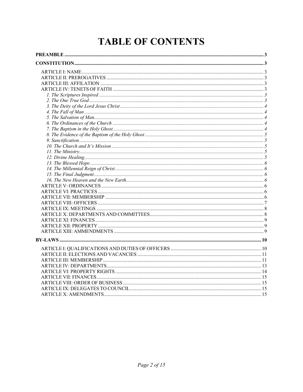## **TABLE OF CONTENTS**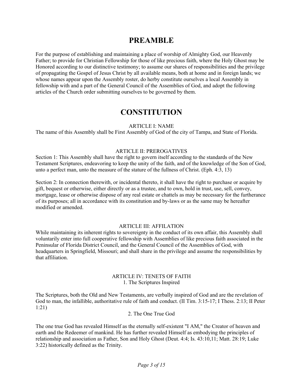### **PREAMBLE**

For the purpose of establishing and maintaining a place of worship of Almighty God, our Heavenly Father; to provide for Christian Fellowship for those of like precious faith, where the Holy Ghost may be Honored according to our distinctive testimony; to assume our shares of responsibilities and the privilege of propagating the Gospel of Jesus Christ by all available means, both at home and in foreign lands; we whose names appear upon the Assembly roster, do herby constitute ourselves a local Assembly in fellowship with and a part of the General Council of the Assemblies of God, and adopt the following articles of the Church order submitting ourselves to be governed by them.

## **CONSTITUTION**

#### ARTICLE I: NAME

The name of this Assembly shall be First Assembly of God of the city of Tampa, and State of Florida.

#### ARTICLE II: PREROGATIVES

Section 1: This Assembly shall have the right to govern itself according to the standards of the New Testament Scriptures, endeavoring to keep the unity of the faith, and of the knowledge of the Son of God, unto a perfect man, unto the measure of the stature of the fullness of Christ. (Eph. 4:3, 13)

Section 2: In connection therewith, or incidental thereto, it shall have the right to purchase or acquire by gift, bequest or otherwise, either directly or as a trustee, and to own, hold in trust, use, sell, convey, mortgage, lease or otherwise dispose of any real estate or chattels as may be necessary for the furtherance of its purposes; all in accordance with its constitution and by-laws or as the same may be hereafter modified or amended.

#### ARTICLE III: AFFILATION

While maintaining its inherent rights to sovereignty in the conduct of its own affair, this Assembly shall voluntarily enter into full cooperative fellowship with Assemblies of like precious faith associated in the Peninsular of Florida District Council, and the General Council of the Assemblies of God, with headquarters in Springfield, Missouri; and shall share in the privilege and assume the responsibilities by that affiliation.

#### ARTICLE IV: TENETS OF FAITH 1. The Scriptures Inspired

The Scriptures, both the Old and New Testaments, are verbally inspired of God and are the revelation of God to man, the infallible, authoritative rule of faith and conduct. (II Tim. 3:15-17; I Thess. 2:13; II Peter 1:21)

#### 2. The One True God

The one true God has revealed Himself as the eternally self-existent "I AM," the Creator of heaven and earth and the Redeemer of mankind. He has further revealed Himself as embodying the principles of relationship and association as Father, Son and Holy Ghost (Deut. 4:4; Is. 43:10,11; Matt. 28:19; Luke 3:22) historically defined as the Trinity.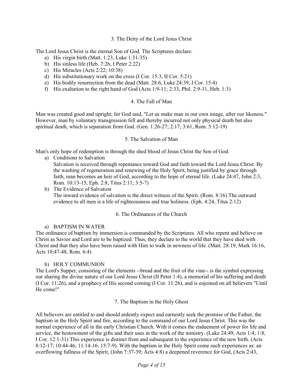3. The Deity of the Lord Jesus Christ

The Lord Jesus Christ is the eternal Son of God. The Scriptures declare:

- a) His virgin birth (Matt. 1:23, Luke 1:31-35)
- b) His sinless life (Heb. 7:26, I Peter 2:22)
- c) His Miracles (Acts 2:22; 10:38)
- d) His substitutionary work on the cross (I Cor. 15:3, II Cor. 5:21)
- e) His bodily resurrection from the dead (Matt. 28:6, Luke 24:39, I Cor. 15:4)
- f) His exaltation to the right hand of God (Acts 1:9-11; 2:33, Phil. 2:9-11, Heb. 1:3)

#### 4. The Fall of Man

Man was created good and upright; for God said, "Let us make man in our own image, after our likeness." However, man by voluntary transgression fell and thereby incurred not only physical death but also spiritual death, which is separation from God. (Gen. 1:26-27; 2:17; 3:61, Rom. 5:12-19)

#### 5. The Salvation of Man

Man's only hope of redemption is through the shed blood of Jesus Christ the Son of God.

a) Conditions to Salvation

Salvation is received through repentance toward God and faith toward the Lord Jesus Christ. By the washing of regeneration and renewing of the Holy Spirit, being justified by grace through faith, man becomes an heir of God, according to the hope of eternal life. (Luke 24:47, John 2:3, Rom. 10:13-15, Eph. 2:8, Titus 2:11; 3:5-7)

b) The Evidence of Salvation The inward evidence of salvation is the direct witness of the Spirit. (Rom. 8:16) The outward evidence to all men is a life of righteousness and true holiness. (Eph. 4:24, Titus 2:12)

#### 6. The Ordinances of the Church

#### a) BAPTISM IN WATER

The ordinance of baptism by immersion is commanded by the Scriptures. All who repent and believe on Christ as Savior and Lord are to be baptized. Thus, they declare to the world that they have died with Christ and that they also have been raised with Him to walk in newness of life. (Matt. 28:19, Mark 16:16, Acts 10:47-48, Rom. 6:4)

#### b) HOLY COMMUNION

The Lord's Supper, consisting of the elements --bread and the fruit of the vine-- is the symbol expressing our sharing the divine nature of our Lord Jesus Christ (II Peter 1:4), a memorial of his suffering and death (I Cor. 11:26), and a prophecy of His second coming (I Cor. 11:26), and is enjoined on all believers "Until He come!"

#### 7. The Baptism in the Holy Ghost

All believers are entitled to and should ardently expect and earnestly seek the promise of the Father, the baptism in the Holy Spirit and fire, according to the command of our Lord Jesus Christ. This was the normal experience of all in the early Christian Church. With it comes the enduement of power for life and service, the bestowment of the gifts and their uses in the work of the ministry. (Luke 24:49, Acts 1:4; 1:8, I Cor. 12:1-31) This experience is distinct from and subsequent to the experience of the new birth. (Acts 8:12-17; 10:44-46; 11:14-16; 15:7-9). With the baptism in the Holy Spirit come such experiences as: an overflowing fullness of the Spirit, (John 7:37-39; Acts 4:8) a deepened reverence for God, (Acts 2:43,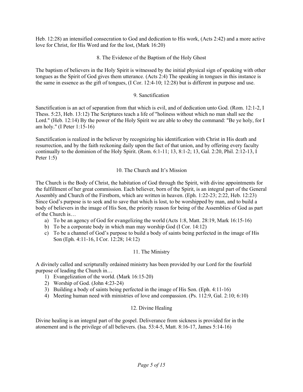Heb. 12:28) an intensified consecration to God and dedication to His work, (Acts 2:42) and a more active love for Christ, for His Word and for the lost, (Mark 16:20)

#### 8. The Evidence of the Baptism of the Holy Ghost

The baptism of believers in the Holy Spirit is witnessed by the initial physical sign of speaking with other tongues as the Spirit of God gives them utterance. (Acts 2:4) The speaking in tongues in this instance is the same in essence as the gift of tongues, (I Cor. 12:4-10; 12:28) but is different in purpose and use.

#### 9. Sanctification

Sanctification is an act of separation from that which is evil, and of dedication unto God. (Rom. 12:1-2, I Thess. 5:23, Heb. 13:12) The Scriptures teach a life of "holiness without which no man shall see the Lord." (Heb. 12:14) By the power of the Holy Spirit we are able to obey the command: "Be ye holy, for I am holy." (I Peter 1:15-16)

Sanctification is realized in the believer by recognizing his identification with Christ in His death and resurrection, and by the faith reckoning daily upon the fact of that union, and by offering every faculty continually to the dominion of the Holy Spirit. (Rom. 6:1-11; 13, 8:1-2; 13, Gal. 2:20, Phil. 2:12-13, I Peter 1:5)

#### 10. The Church and It's Mission

The Church is the Body of Christ, the habitation of God through the Spirit, with divine appointments for the fulfillment of her great commission. Each believer, born of the Spirit, is an integral part of the General Assembly and Church of the Firstborn, which are written in heaven. (Eph. 1:22-23; 2:22, Heb. 12:23) Since God's purpose is to seek and to save that which is lost, to be worshipped by man, and to build a body of believers in the image of His Son, the priority reason for being of the Assemblies of God as part of the Church is…

- a) To be an agency of God for evangelizing the world (Acts 1:8, Matt. 28:19, Mark 16:15-16)
- b) To be a corporate body in which man may worship God (I Cor. 14:12)
- c) To be a channel of God's purpose to build a body of saints being perfected in the image of His Son (Eph. 4:11-16, I Cor. 12:28; 14:12)

#### 11. The Ministry

A divinely called and scripturally ordained ministry has been provided by our Lord for the fourfold purpose of leading the Church in…

- 1) Evangelization of the world. (Mark 16:15-20)
- 2) Worship of God. (John 4:23-24)
- 3) Building a body of saints being perfected in the image of His Son. (Eph. 4:11-16)
- 4) Meeting human need with ministries of love and compassion. (Ps. 112:9, Gal. 2:10; 6:10)

#### 12. Divine Healing

Divine healing is an integral part of the gospel. Deliverance from sickness is provided for in the atonement and is the privilege of all believers. (Isa. 53:4-5, Matt. 8:16-17, James 5:14-16)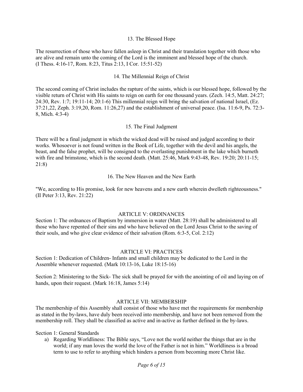#### 13. The Blessed Hope

The resurrection of those who have fallen asleep in Christ and their translation together with those who are alive and remain unto the coming of the Lord is the imminent and blessed hope of the church. (I Thess. 4:16-17, Rom. 8:23, Titus 2:13, I Cor. 15:51-52)

#### 14. The Millennial Reign of Christ

The second coming of Christ includes the rapture of the saints, which is our blessed hope, followed by the visible return of Christ with His saints to reign on earth for one thousand years. (Zech. 14:5, Matt. 24:27; 24:30, Rev. 1:7; 19:11-14; 20:1-6) This millennial reign will bring the salvation of national Israel, (Ez. 37:21,22, Zeph. 3:19,20, Rom. 11:26,27) and the establishment of universal peace. (Isa. 11:6-9, Ps. 72:3- 8, Mich. 4:3-4)

#### 15. The Final Judgment

There will be a final judgment in which the wicked dead will be raised and judged according to their works. Whosoever is not found written in the Book of Life, together with the devil and his angels, the beast, and the false prophet, will be consigned to the everlasting punishment in the lake which burneth with fire and brimstone, which is the second death. (Matt. 25:46, Mark 9:43-48, Rev. 19:20; 20:11-15; 21:8)

#### 16. The New Heaven and the New Earth

"We, according to His promise, look for new heavens and a new earth wherein dwelleth righteousness." (II Peter 3:13, Rev. 21:22)

#### ARTICLE V: ORDINANCES

Section 1: The ordnances of Baptism by immersion in water (Matt. 28:19) shall be administered to all those who have repented of their sins and who have believed on the Lord Jesus Christ to the saving of their souls, and who give clear evidence of their salvation (Rom. 6:3-5, Col. 2:12)

#### ARTICLE VI: PRACTICES

Section 1: Dedication of Children- Infants and small children may be dedicated to the Lord in the Assemble whenever requested. (Mark 10:13-16, Luke 18:15-16)

Section 2: Ministering to the Sick- The sick shall be prayed for with the anointing of oil and laying on of hands, upon their request. (Mark 16:18, James 5:14)

#### ARTICLE VII: MEMBERSHIP

The membership of this Assembly shall consist of those who have met the requirements for membership as stated in the by-laws, have duly been received into membership, and have not been removed from the membership roll. They shall be classified as active and in-active as further defined in the by-laws.

Section 1: General Standards

a) Regarding Worldliness: The Bible says, "Love not the world neither the things that are in the world; if any man loves the world the love of the Father is not in him." Worldliness is a broad term to use to refer to anything which hinders a person from becoming more Christ like.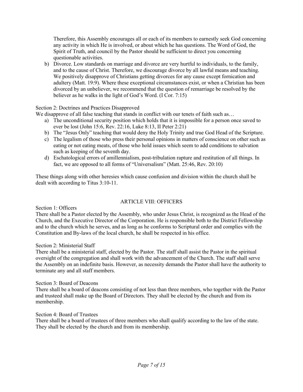Therefore, this Assembly encourages all or each of its members to earnestly seek God concerning any activity in which He is involved, or about which he has questions. The Word of God, the Spirit of Truth, and council by the Pastor should be sufficient to direct you concerning questionable activities.

b) Divorce. Low standards on marriage and divorce are very hurtful to individuals, to the family, and to the cause of Christ. Therefore, we discourage divorce by all lawful means and teaching. We positively disapprove of Christians getting divorces for any cause except fornication and adultery (Matt. 19:9). Where these exceptional circumstances exist, or when a Christian has been divorced by an unbeliever, we recommend that the question of remarriage be resolved by the believer as he walks in the light of God's Word. (I Cor. 7:15)

#### Section 2: Doctrines and Practices Disapproved

We disapprove of all false teaching that stands in conflict with our tenets of faith such as...

- a) The unconditional security position which holds that it is impossible for a person once saved to ever be lost (John 15:6, Rev. 22:16, Luke 8:13, II Peter 2:21)
- b) The "Jesus Only" teaching that would deny the Holy Trinity and true God Head of the Scripture.
- c) The legalism of those who press their personal opinions in matters of conscience on other such as eating or not eating meats, of those who hold issues which seem to add conditions to salvation such as keeping of the seventh day.
- d) Eschatological errors of amillennialism, post-tribulation rapture and restitution of all things. In fact, we are opposed to all forms of "Universalism" (Matt. 25:46, Rev. 20:10)

These things along with other heresies which cause confusion and division within the church shall be dealt with according to Titus 3:10-11.

#### ARTICLE VIII: OFFICERS

Section 1: Officers

There shall be a Pastor elected by the Assembly, who under Jesus Christ, is recognized as the Head of the Church, and the Executive Director of the Corporation. He is responsible both to the District Fellowship and to the church which he serves, and as long as he conforms to Scriptural order and complies with the Constitution and By-laws of the local church, he shall be respected in his office.

#### Section 2: Ministerial Staff

There shall be a ministerial staff, elected by the Pastor. The staff shall assist the Pastor in the spiritual oversight of the congregation and shall work with the advancement of the Church. The staff shall serve the Assembly on an indefinite basis. However, as necessity demands the Pastor shall have the authority to terminate any and all staff members.

#### Section 3: Board of Deacons

There shall be a board of deacons consisting of not less than three members, who together with the Pastor and trusteed shall make up the Board of Directors. They shall be elected by the church and from its membership.

#### Section 4: Board of Trustees

There shall be a board of trustees of three members who shall qualify according to the law of the state. They shall be elected by the church and from its membership.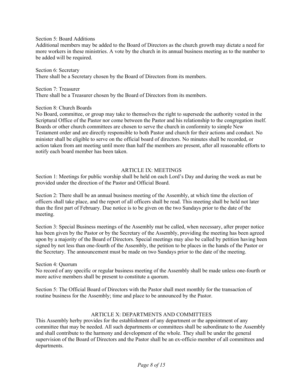#### Section 5: Board Additions

Additional members may be added to the Board of Directors as the church growth may dictate a need for more workers in these ministries. A vote by the church in its annual business meeting as to the number to be added will be required.

Section 6: Secretary There shall be a Secretary chosen by the Board of Directors from its members.

Section 7: Treasurer There shall be a Treasurer chosen by the Board of Directors from its members.

#### Section 8: Church Boards

No Board, committee, or group may take to themselves the right to supersede the authority vested in the Scriptural Office of the Pastor nor come between the Pastor and his relationship to the congregation itself. Boards or other church committees are chosen to serve the church in conformity to simple New Testament order and are directly responsible to both Pastor and church for their actions and conduct. No minister shall be eligible to serve on the official board of directors. No minutes shall be recorded, or action taken from ant meeting until more than half the members are present, after all reasonable efforts to notify each board member has been taken.

#### ARTICLE IX: MEETINGS

Section 1: Meetings for public worship shall be held on each Lord's Day and during the week as mat be provided under the direction of the Pastor and Official Board.

Section 2: There shall be an annual business meeting of the Assembly, at which time the election of officers shall take place, and the report of all officers shall be read. This meeting shall be held not later than the first part of February. Due notice is to be given on the two Sundays prior to the date of the meeting.

Section 3: Special Business meetings of the Assembly mat be called, when necessary, after proper notice has been given by the Pastor or by the Secretary of the Assembly, providing the meeting has been agreed upon by a majority of the Board of Directors. Special meetings may also be called by petition having been signed by not less than one-fourth of the Assembly, the petition to be places in the hands of the Pastor or the Secretary. The announcement must be made on two Sundays prior to the date of the meeting.

#### Section 4: Quorum

No record of any specific or regular business meeting of the Assembly shall be made unless one-fourth or more active members shall be present to constitute a quorum.

Section 5: The Official Board of Directors with the Pastor shall meet monthly for the transaction of routine business for the Assembly; time and place to be announced by the Pastor.

#### ARTICLE X: DEPARTMENTS AND COMMITTEES

This Assembly herby provides for the establishment of any department or the appointment of any committee that may be needed. All such departments or committees shall be subordinate to the Assembly and shall contribute to the harmony and development of the whole. They shall be under the general supervision of the Board of Directors and the Pastor shall be an ex-officio member of all committees and departments.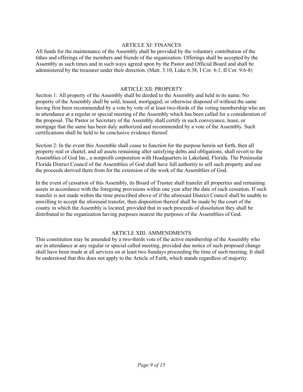#### ARTICLE XI: FINANCES

All funds for the maintenance of the Assembly shall be provided by the voluntary contribution of the tithes and offerings of the members and friends of the organization. Offerings shall be accepted by the Assembly as such times and in such ways agreed upon by the Pastor and Official Board and shall be administered by the treasurer under their direction. (Matt. 3:10, Luke 6:38, I Cor. 6:1, II Cor. 9:6-8)

#### ARTICLE XII: PROPERTY

Section 1: All property of the Assembly shall be deeded to the Assembly and held in its name. No property of the Assembly shall be sold, leased, mortgaged, or otherwise disposed of without the same having first been recommended by a vote by vote of at least two-thirds of the voting membership who are in attendance at a regular or special meeting of the Assembly which has been called for a consideration of the proposal. The Pastor or Secretary of the Assembly shall certify in such conveyance, lease, or mortgage that the same has been duly authorized and recommended by a vote of the Assembly. Such certifications shall be held to be conclusive evidence thereof.

Section 2: In the event this Assemble shall cease to function for the purpose herein set forth, then all property real or chattel, and all assets remaining after satisfying debts and obligations; shall revert to the Assemblies of God Inc., a nonprofit corporation with Headquarters in Lakeland, Florida. The Peninsular Florida District Council of the Assemblies of God shall have full authority to sell such property and use the proceeds derived there from for the extension of the work of the Assemblies of God.

In the event of cessation of this Assembly, its Board of Trustee shall transfer all properties and remaining assets in accordance with the foregoing provisions within one year after the date of such cessation. If such transfer is not made within the time prescribed above of if the aforesaid District Council shall be unable to unwilling to accept the aforesaid transfer, then disposition thereof shall be made by the court of the county in which the Assembly is located, provided that in such proceeds of dissolution they shall be distributed to the organization having purposes nearest the purposes of the Assemblies of God.

#### ARTICLE XIII: AMMENDMENTS

This constitution may be amended by a two-thirds vote of the active membership of the Assembly who are in attendance at any regular or special called meeting, provided due notice of such proposed change shall have been made at all services on at least two Sundays proceeding the time of such meeting. It shall be understood that this does not apply to the Article of Faith, which stands regardless of majority.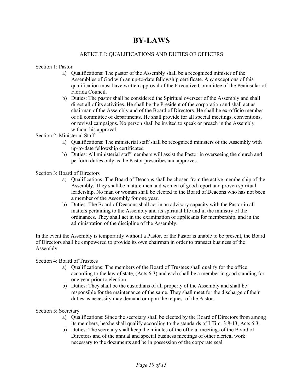## **BY-LAWS**

#### ARTICLE I: QUALIFICATIONS AND DUTIES OF OFFICERS

#### Section 1: Pastor

- a) Qualifications: The pastor of the Assembly shall be a recognized minister of the Assemblies of God with an up-to-date fellowship certificate. Any exceptions of this qualification must have written approval of the Executive Committee of the Peninsular of Florida Council.
- b) Duties: The pastor shall be considered the Spiritual overseer of the Assembly and shall direct all of its activities. He shall be the President of the corporation and shall act as chairman of the Assembly and of the Board of Directors. He shall be ex-officio member of all committee of departments. He shall provide for all special meetings, conventions, or revival campaigns. No person shall be invited to speak or preach in the Assembly without his approval.

Section 2: Ministerial Staff

- a) Qualifications: The ministerial staff shall be recognized ministers of the Assembly with up-to-date fellowship certificates.
- b) Duties: All ministerial staff members will assist the Pastor in overseeing the church and perform duties only as the Pastor prescribes and approves.

Section 3: Board of Directors

- a) Qualifications: The Board of Deacons shall be chosen from the active membership of the Assembly. They shall be mature men and women of good report and proven spiritual leadership. No man or woman shall be elected to the Board of Deacons who has not been a member of the Assembly for one year.
- b) Duties: The Board of Deacons shall act in an advisory capacity with the Pastor in all matters pertaining to the Assembly and its spiritual life and in the ministry of the ordinances. They shall act in the examination of applicants for membership, and in the administration of the discipline of the Assembly.

In the event the Assembly is temporarily without a Pastor, or the Pastor is unable to be present, the Board of Directors shall be empowered to provide its own chairman in order to transact business of the Assembly.

Section 4: Board of Trustees

- a) Qualifications: The members of the Board of Trustees shall qualify for the office according to the law of state, (Acts 6:3) and each shall be a member in good standing for one year prior to election.
- b) Duties: They shall be the custodians of all property of the Assembly and shall be responsible for the maintenance of the same. They shall meet for the discharge of their duties as necessity may demand or upon the request of the Pastor.

Section 5: Secretary

- a) Qualifications: Since the secretary shall be elected by the Board of Directors from among its members, he/she shall qualify according to the standards of I Tim. 3:8-13, Acts 6:3.
- b) Duties: The secretary shall keep the minutes of the official meetings of the Board of Directors and of the annual and special business meetings of other clerical work necessary to the documents and be in possession of the corporate seal.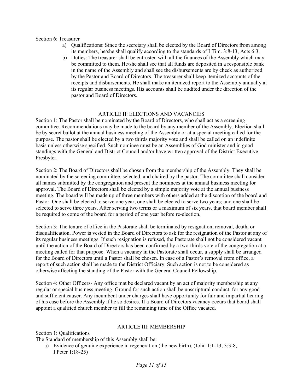#### Section 6: Treasurer

- a) Qualifications: Since the secretary shall be elected by the Board of Directors from among its members, he/she shall qualify according to the standards of I Tim. 3:8-13, Acts 6:3.
- b) Duties: The treasurer shall be entrusted with all the finances of the Assembly which may be committed to them. He/she shall see that all funds are deposited in a responsible bank in the name of the Assembly and shall see the disbursements are by check as authorized by the Pastor and Board of Directors. The treasurer shall keep itemized accounts of the receipts and disbursements. He shall make an itemized report to the Assembly annually at its regular business meetings. His accounts shall be audited under the direction of the pastor and Board of Directors.

#### ARTICLE II: ELECTIONS AND VACANCIES

Section 1: The Pastor shall be nominated by the Board of Directors, who shall act as a screening committee. Recommendations may be made to the board by any member of the Assembly. Election shall be by secret ballot at the annual business meeting of the Assembly or at a special meeting called for the purpose. The pastor shall be elected by a two thirds majority vote and shall be called on an indefinite basis unless otherwise specified. Such nominee must be an Assemblies of God minister and in good standings with the General and District Council and/or have written approval of the District Executive Presbyter.

Section 2: The Board of Directors shall be chosen from the membership of the Assembly. They shall be nominated by the screening committee, selected, and chaired by the pastor. The committee shall consider all names submitted by the congregation and present the nominees at the annual business meeting for approval. The Board of Directors shall be elected by a simple majority vote at the annual business meeting. The board will be made up of three members with others added at the discretion of the board and Pastor. One shall be elected to serve one year; one shall be elected to serve two years; and one shall be selected to serve three years. After serving two terms or a maximum of six years, that board member shall be required to come of the board for a period of one year before re-election.

Section 3: The tenure of office in the Pastorate shall be terminated by resignation, removal, death, or disqualification. Power is vested in the Board of Directors to ask for the resignation of the Pastor at any of its regular business meetings. If such resignation is refused, the Pastorate shall not be considered vacant until the action of the Board of Directors has been confirmed by a two-thirds vote of the congregation at a meeting called for that purpose. When a vacancy in the Pastorate shall occur, a supply shall be arranged for the Board of Directors until a Pastor shall be chosen. In case of a Pastor's removal from office, a report of such action shall be made to the District Officiary. Such action is not to be considered as otherwise affecting the standing of the Pastor with the General Council Fellowship.

Section 4: Other Officers- Any office mat be declared vacant by an act of majority membership at any regular or special business meeting. Ground for such action shall be unscriptural conduct, for any good and sufficient causer. Any incumbent under charges shall have opportunity for fair and impartial hearing of his case before the Assembly if he so desires. If a Board of Directors vacancy occurs that board shall appoint a qualified church member to fill the remaining time of the Office vacated.

#### ARTICLE III: MEMBERSHIP

Section 1: Qualifications The Standard of membership of this Assembly shall be:

a) Evidence of genuine experience in regeneration (the new birth). (John 1:1-13; 3:3-8, I Peter 1:18-25)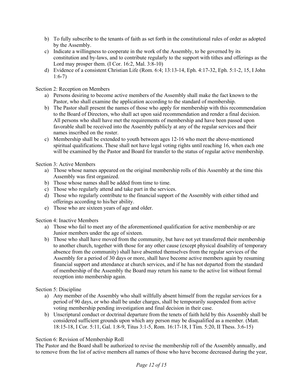- b) To fully subscribe to the tenants of faith as set forth in the constitutional rules of order as adopted by the Assembly.
- c) Indicate a willingness to cooperate in the work of the Assembly, to be governed by its constitution and by-laws, and to contribute regularly to the support with tithes and offerings as the Lord may prosper them. (I Cor. 16:2, Mal. 3:8-10)
- d) Evidence of a consistent Christian Life (Rom. 6:4; 13:13-14, Eph. 4:17-32, Eph. 5:1-2, 15, I John 1:6-7)

Section 2: Reception on Members

- a) Persons desiring to become active members of the Assembly shall make the fact known to the Pastor, who shall examine the application according to the standard of membership.
- b) The Pastor shall present the names of those who apply for membership with this recommendation to the Board of Directors, who shall act upon said recommendation and render a final decision. All persons who shall have met the requirements of membership and have been passed upon favorable shall be received into the Assembly publicly at any of the regular services and their names inscribed on the roster.
- c) Membership shall be extended to youth between ages 12-16 who meet the above-mentioned spiritual qualifications. These shall not have legal voting rights until reaching 16, when each one will be examined by the Pastor and Board for transfer to the status of regular active membership.

Section 3: Active Members

- a) Those whose names appeared on the original membership rolls of this Assembly at the time this Assembly was first organized.
- b) Those whose names shall be added from time to time.
- c) Those who regularly attend and take part in the services.
- d) Those who regularly contribute to the financial support of the Assembly with either tithed and offerings according to his/her ability.
- e) Those who are sixteen years of age and older.

Section 4: Inactive Members

- a) Those who fail to meet any of the aforementioned qualification for active membership or are Junior members under the age of sixteen.
- b) Those who shall have moved from the community, but have not yet transferred their membership to another church, together with those for any other cause (except physical disability of temporary absence from the community) shall have absented themselves from the regular services of the Assembly for a period of 30 days or more, shall have become active members again by resuming financial support and attendance at church services, and if he has not departed from the standard of membership of the Assembly the Board may return his name to the active list without formal reception into membership again.

Section 5: Discipline

- a) Any member of the Assembly who shall willfully absent himself from the regular services for a period of 90 days, or who shall be under charges, shall be temporarily suspended from active voting membership pending investigation and final decision in their case.
- b) Unscriptural conduct or doctrinal departure from the tenets of faith held by this Assembly shall be considered sufficient grounds upon which any person may be disqualified as a member. (Matt. 18:15-18, I Cor. 5:11, Gal. 1:8-9, Titus 3:1-5, Rom. 16:17-18, I Tim. 5:20, II Thess. 3:6-15)

#### Section 6: Revision of Membership Roll

The Pastor and the Board shall be authorized to revise the membership roll of the Assembly annually, and to remove from the list of active members all names of those who have become decreased during the year,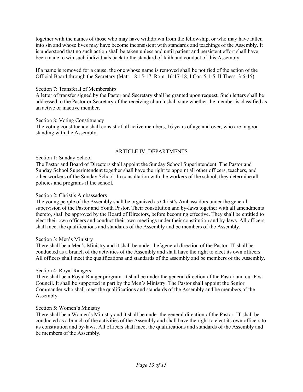together with the names of those who may have withdrawn from the fellowship, or who may have fallen into sin and whose lives may have become inconsistent with standards and teachings of the Assembly. It is understood that no such action shall be taken unless and until patient and persistent effort shall have been made to win such individuals back to the standard of faith and conduct of this Assembly.

If a name is removed for a cause, the one whose name is removed shall be notified of the action of the Official Board through the Secretary (Matt. 18:15-17, Rom. 16:17-18, I Cor. 5:1-5, II Thess. 3:6-15)

#### Section 7: Transferal of Membership

A letter of transfer signed by the Pastor and Secretary shall be granted upon request. Such letters shall be addressed to the Pastor or Secretary of the receiving church shall state whether the member is classified as an active or inactive member.

#### Section 8: Voting Constituency

The voting constituency shall consist of all active members, 16 years of age and over, who are in good standing with the Assembly.

#### ARTICLE IV: DEPARTMENTS

#### Section 1: Sunday School

The Pastor and Board of Directors shall appoint the Sunday School Superintendent. The Pastor and Sunday School Superintendent together shall have the right to appoint all other officers, teachers, and other workers of the Sunday School. In consultation with the workers of the school, they determine all policies and programs if the school.

#### Section 2: Christ's Ambassadors

The young people of the Assembly shall be organized as Christ's Ambassadors under the general supervision of the Pastor and Youth Pastor. Their constitution and by-laws together with all amendments thereto, shall be approved by the Board of Directors, before becoming effective. They shall be entitled to elect their own officers and conduct their own meetings under their constitution and by-laws. All officers shall meet the qualifications and standards of the Assembly and be members of the Assembly.

#### Section 3: Men's Ministry

There shall be a Men's Ministry and it shall be under the \general direction of the Pastor. IT shall be conducted as a branch of the activities of the Assembly and shall have the right to elect its own officers. All officers shall meet the qualifications and standards of the assembly and be members of the Assembly.

#### Section 4: Royal Rangers

There shall be a Royal Ranger program. It shall be under the general direction of the Pastor and our Post Council. It shall be supported in part by the Men's Ministry. The Pastor shall appoint the Senior Commander who shall meet the qualifications and standards of the Assembly and be members of the Assembly.

#### Section 5: Women's Ministry

There shall be a Women's Ministry and it shall be under the general direction of the Pastor. IT shall be conducted as a branch of the activities of the Assembly and shall have the right to elect its own officers to its constitution and by-laws. All officers shall meet the qualifications and standards of the Assembly and be members of the Assembly.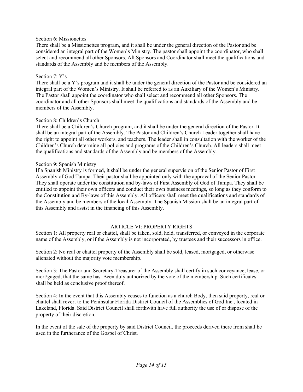#### Section 6: Missionettes

There shall be a Missionettes program, and it shall be under the general direction of the Pastor and be considered an integral part of the Women's Ministry. The pastor shall appoint the coordinator, who shall select and recommend all other Sponsors. All Sponsors and Coordinator shall meet the qualifications and standards of the Assembly and be members of the Assembly.

#### Section 7: Y's

There shall be a Y's program and it shall be under the general direction of the Pastor and be considered an integral part of the Women's Ministry. It shall be referred to as an Auxiliary of the Women's Ministry. The Pastor shall appoint the coordinator who shall select and recommend all other Sponsors. The coordinator and all other Sponsors shall meet the qualifications and standards of the Assembly and be members of the Assembly.

#### Section 8: Children's Church

There shall be a Children's Church program, and it shall be under the general direction of the Pastor. It shall be an integral part of the Assembly. The Pastor and Children's Church Leader together shall have the right to appoint all other workers, and teachers. The leader shall in consultation with the worker of the Children's Church determine all policies and programs of the Children's Church. All leaders shall meet the qualifications and standards of the Assembly and be members of the Assembly.

#### Section 9: Spanish Ministry

If a Spanish Ministry is formed, it shall be under the general supervision of the Senior Pastor of First Assembly of God Tampa. Their pastor shall be appointed only with the approval of the Senior Pastor. They shall operate under the constitution and by-laws of First Assembly of God of Tampa. They shall be entitled to appoint their own officers and conduct their own business meetings, so long as they conform to the Constitution and By-laws of this Assembly. All officers shall meet the qualifications and standards of the Assembly and be members of the local Assembly. The Spanish Mission shall be an integral part of this Assembly and assist in the financing of this Assembly.

#### ARTICLE VI: PROPERTY RIGHTS

Section 1: All property real or chattel, shall be taken, sold, held, transferred, or conveyed in the corporate name of the Assembly, or if the Assembly is not incorporated, by trustees and their successors in office.

Section 2: No real or chattel property of the Assembly shall be sold, leased, mortgaged, or otherwise alienated without the majority vote membership.

Section 3: The Pastor and Secretary-Treasurer of the Assembly shall certify in such conveyance, lease, or mort\gaged, that the same has. Been duly authorized by the vote of the membership. Such certificates shall be held as conclusive proof thereof.

Section 4: In the event that this Assembly ceases to function as a church Body, then said property, real or chattel shall revert to the Peninsular Florida District Council of the Assemblies of God Inc., located in Lakeland, Florida. Said District Council shall forthwith have full authority the use of or dispose of the property of their discretion.

In the event of the sale of the property by said District Council, the proceeds derived there from shall be used in the furtherance of the Gospel of Christ.